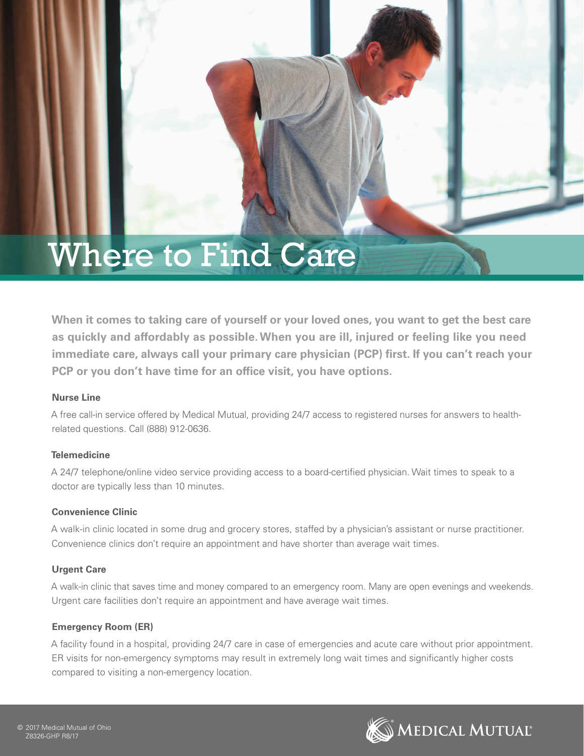# Where to Find Care

**When it comes to taking care of yourself or your loved ones, you want to get the best care as quickly and affordably as possible. When you are ill, injured or feeling like you need immediate care, always call your primary care physician (PCP) first. If you can't reach your PCP or you don't have time for an office visit, you have options.**

### **Nurse Line**

A free call-in service offered by Medical Mutual, providing 24/7 access to registered nurses for answers to healthrelated questions. Call (888) 912-0636.

### **Telemedicine**

A 24/7 telephone/online video service providing access to a board-certified physician. Wait times to speak to a doctor are typically less than 10 minutes.

### **Convenience Clinic**

A walk-in clinic located in some drug and grocery stores, staffed by a physician's assistant or nurse practitioner. Convenience clinics don't require an appointment and have shorter than average wait times.

### **Urgent Care**

A walk-in clinic that saves time and money compared to an emergency room. Many are open evenings and weekends. Urgent care facilities don't require an appointment and have average wait times.

### **Emergency Room (ER)**

A facility found in a hospital, providing 24/7 care in case of emergencies and acute care without prior appointment. ER visits for non-emergency symptoms may result in extremely long wait times and significantly higher costs compared to visiting a non-emergency location.